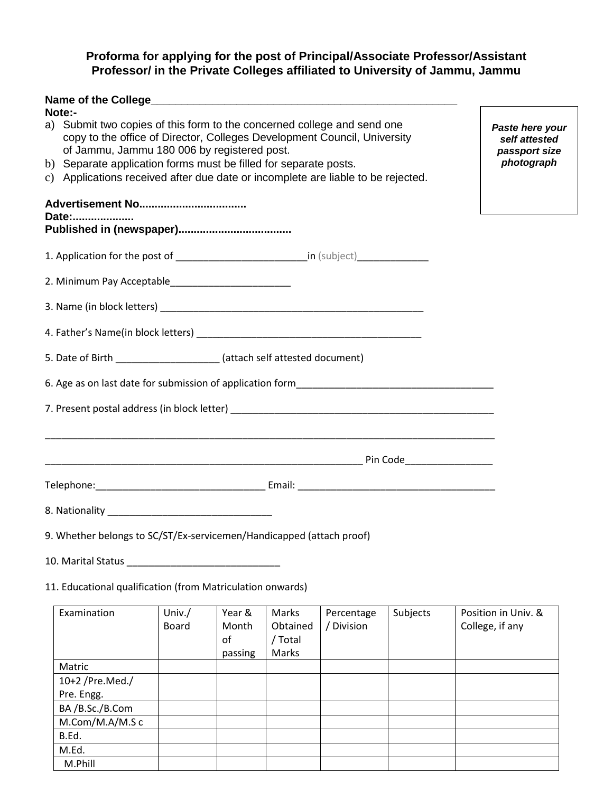#### **Proforma for applying for the post of Principal/Associate Professor/Assistant Professor/ in the Private Colleges affiliated to University of Jammu, Jammu**

| Note:- | a) Submit two copies of this form to the concerned college and send one<br>Paste here your<br>copy to the office of Director, Colleges Development Council, University<br>self attested<br>of Jammu, Jammu 180 006 by registered post.<br>passport size<br>photograph<br>b) Separate application forms must be filled for separate posts.<br>c) Applications received after due date or incomplete are liable to be rejected. |  |  |  |  |
|--------|-------------------------------------------------------------------------------------------------------------------------------------------------------------------------------------------------------------------------------------------------------------------------------------------------------------------------------------------------------------------------------------------------------------------------------|--|--|--|--|
| Date:  |                                                                                                                                                                                                                                                                                                                                                                                                                               |  |  |  |  |
|        | 1. Application for the post of ____________________________in (subject)__________                                                                                                                                                                                                                                                                                                                                             |  |  |  |  |
|        |                                                                                                                                                                                                                                                                                                                                                                                                                               |  |  |  |  |
|        |                                                                                                                                                                                                                                                                                                                                                                                                                               |  |  |  |  |
|        |                                                                                                                                                                                                                                                                                                                                                                                                                               |  |  |  |  |
|        | 5. Date of Birth ______________________ (attach self attested document)                                                                                                                                                                                                                                                                                                                                                       |  |  |  |  |
|        |                                                                                                                                                                                                                                                                                                                                                                                                                               |  |  |  |  |
|        |                                                                                                                                                                                                                                                                                                                                                                                                                               |  |  |  |  |
|        |                                                                                                                                                                                                                                                                                                                                                                                                                               |  |  |  |  |
|        |                                                                                                                                                                                                                                                                                                                                                                                                                               |  |  |  |  |
|        |                                                                                                                                                                                                                                                                                                                                                                                                                               |  |  |  |  |
|        | 9. Whether belongs to SC/ST/Ex-servicemen/Handicapped (attach proof)                                                                                                                                                                                                                                                                                                                                                          |  |  |  |  |

10. Marital Status \_\_\_\_\_\_\_\_\_\_\_\_\_\_\_\_\_\_\_\_\_\_\_\_\_\_\_\_

11. Educational qualification (from Matriculation onwards)

| Examination     | Univ./ | Year &  | Marks    | Percentage | Subjects | Position in Univ. & |
|-----------------|--------|---------|----------|------------|----------|---------------------|
|                 | Board  | Month   | Obtained | / Division |          | College, if any     |
|                 |        | οf      | / Total  |            |          |                     |
|                 |        | passing | Marks    |            |          |                     |
| Matric          |        |         |          |            |          |                     |
| 10+2 /Pre.Med./ |        |         |          |            |          |                     |
| Pre. Engg.      |        |         |          |            |          |                     |
| BA/B.Sc./B.Com  |        |         |          |            |          |                     |
| M.Com/M.A/M.Sc  |        |         |          |            |          |                     |
| B.Ed.           |        |         |          |            |          |                     |
| M.Ed.           |        |         |          |            |          |                     |
| M.Phill         |        |         |          |            |          |                     |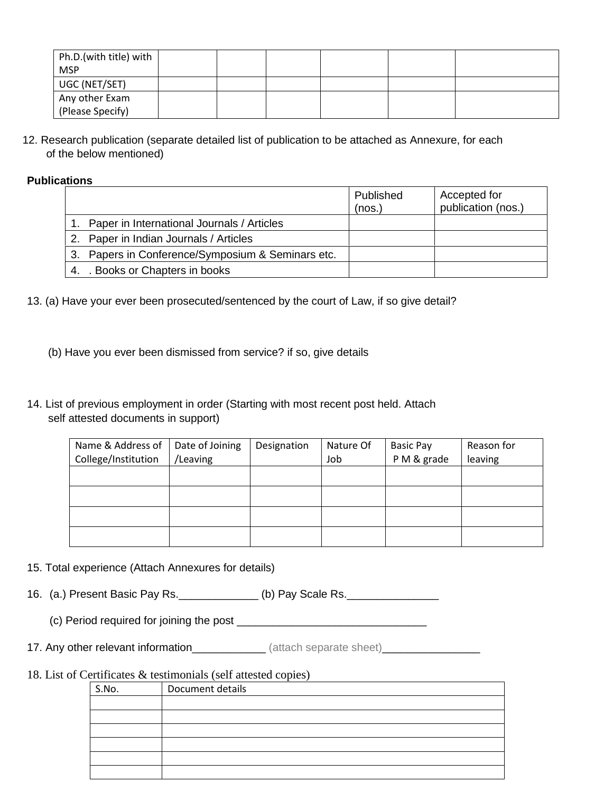| Ph.D.(with title) with |  |  |  |
|------------------------|--|--|--|
| <b>MSP</b>             |  |  |  |
| UGC (NET/SET)          |  |  |  |
| Any other Exam         |  |  |  |
| (Please Specify)       |  |  |  |

12. Research publication (separate detailed list of publication to be attached as Annexure, for each of the below mentioned)

#### **Publications**

|                                                   | Published<br>(nos.) | Accepted for<br>publication (nos.) |
|---------------------------------------------------|---------------------|------------------------------------|
| 1. Paper in International Journals / Articles     |                     |                                    |
| 2. Paper in Indian Journals / Articles            |                     |                                    |
| 3. Papers in Conference/Symposium & Seminars etc. |                     |                                    |
| Books or Chapters in books                        |                     |                                    |

- 13. (a) Have your ever been prosecuted/sentenced by the court of Law, if so give detail?
	- (b) Have you ever been dismissed from service? if so, give details
- 14. List of previous employment in order (Starting with most recent post held. Attach self attested documents in support)

| Name & Address of<br>College/Institution | Date of Joining<br>/Leaving | Designation | Nature Of<br>Job | <b>Basic Pay</b><br>PM & grade | Reason for<br>leaving |
|------------------------------------------|-----------------------------|-------------|------------------|--------------------------------|-----------------------|
|                                          |                             |             |                  |                                |                       |
|                                          |                             |             |                  |                                |                       |
|                                          |                             |             |                  |                                |                       |
|                                          |                             |             |                  |                                |                       |

15. Total experience (Attach Annexures for details)

16. (a.) Present Basic Pay Rs. \_\_\_\_\_\_\_\_\_\_\_\_\_ (b) Pay Scale Rs.

(c) Period required for joining the post \_\_\_\_\_\_\_\_\_\_\_\_\_\_\_\_\_\_\_\_\_\_\_\_\_\_\_\_\_\_\_

17. Any other relevant information\_\_\_\_\_\_\_\_\_\_\_\_\_ (attach separate sheet)\_\_\_\_\_\_\_\_\_\_\_\_\_\_\_

18. List of Certificates & testimonials (self attested copies)

| S.No. | Document details |
|-------|------------------|
|       |                  |
|       |                  |
|       |                  |
|       |                  |
|       |                  |
|       |                  |